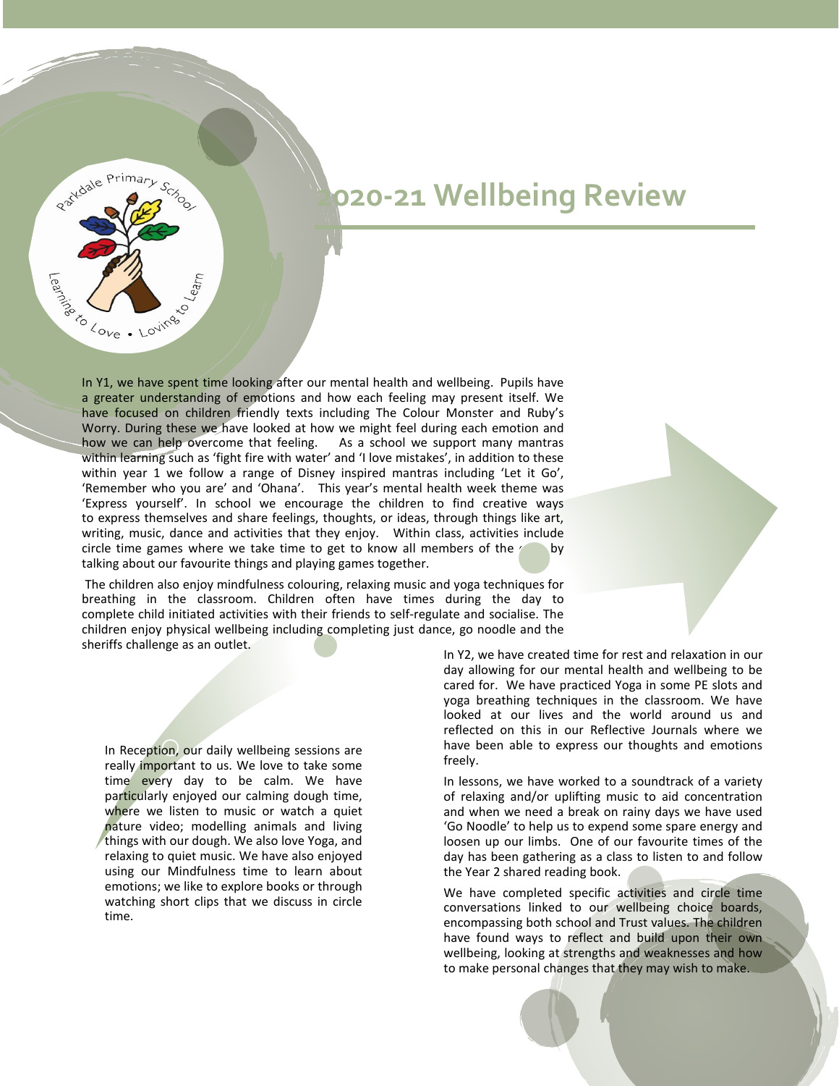

In Y1, we have spent time looking after our mental health and wellbeing. Pupils have a greater understanding of emotions and how each feeling may present itself. We have focused on children friendly texts including The Colour Monster and Ruby's Worry. During these we have looked at how we might feel during each emotion and how we can help overcome that feeling. As a school we support many mantras within learning such as 'fight fire with water' and 'I love mistakes', in addition to these within year 1 we follow a range of Disney inspired mantras including 'Let it Go', 'Remember who you are' and 'Ohana'. This year's mental health week theme was 'Express yourself'. In school we encourage the children to find creative ways to express themselves and share feelings, thoughts, or ideas, through things like art, writing, music, dance and activities that they enjoy. Within class, activities include circle time games where we take time to get to know all members of the  $\ell$  by talking about our favourite things and playing games together.

The children also enjoy mindfulness colouring, relaxing music and yoga techniques for breathing in the classroom. Children often have times during the day to complete child initiated activities with their friends to self-regulate and socialise. The children enjoy physical wellbeing including completing just dance, go noodle and the sheriffs challenge as an outlet.

In Reception, our daily wellbeing sessions are really important to us. We love to take some time every day to be calm. We have particularly enjoyed our calming dough time, where we listen to music or watch a quiet nature video; modelling animals and living things with our dough. We also love Yoga, and relaxing to quiet music. We have also enjoyed using our Mindfulness time to learn about emotions; we like to explore books or through watching short clips that we discuss in circle time.

Partdale Primary School

Passion Love . Lovings

 $\sim$ 

In Y2, we have created time for rest and relaxation in our day allowing for our mental health and wellbeing to be cared for. We have practiced Yoga in some PE slots and yoga breathing techniques in the classroom. We have looked at our lives and the world around us and reflected on this in our Reflective Journals where we have been able to express our thoughts and emotions freely.

In lessons, we have worked to a soundtrack of a variety of relaxing and/or uplifting music to aid concentration and when we need a break on rainy days we have used 'Go Noodle' to help us to expend some spare energy and loosen up our limbs. One of our favourite times of the day has been gathering as a class to listen to and follow the Year 2 shared reading book.

We have completed specific activities and circle time conversations linked to our wellbeing choice boards, encompassing both school and Trust values. The children have found ways to reflect and build upon their own wellbeing, looking at strengths and weaknesses and how to make personal changes that they may wish to make.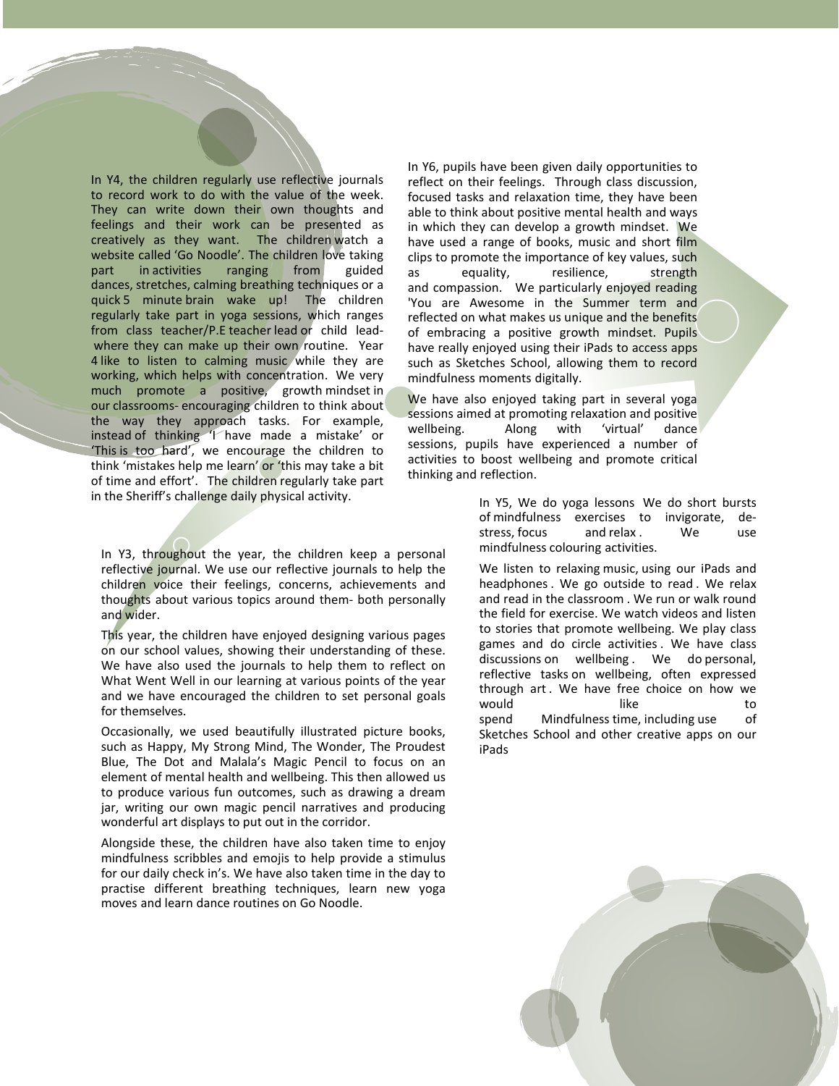In Y4, the children regularly use reflective journals to record work to do with the value of the week. They can write down their own thoughts and feelings and their work can be presented as creatively as they want. The children watch a website called 'Go Noodle'. The children love taking part in activities ranging from guided dances, stretches, calming breathing techniques or a quick 5 minute brain wake up! The children regularly take part in yoga sessions, which ranges from class teacher/P.E teacher lead or child leadwhere they can make up their own routine. Year 4 like to listen to calming music while they are working, which helps with concentration. We very much promote a positive, growth mindset in our classrooms- encouraging children to think about the way they approach tasks. For example, instead of thinking 'I have made a mistake' or 'This is too hard', we encourage the children to think 'mistakes help me learn' or 'this may take a bit of time and effort'. The children regularly take part in the Sheriff's challenge daily physical activity.

In Y3, throughout the year, the children keep a personal reflective journal. We use our reflective journals to help the children voice their feelings, concerns, achievements and thoughts about various topics around them- both personally and wider.

This year, the children have enjoyed designing various pages on our school values, showing their understanding of these. We have also used the journals to help them to reflect on What Went Well in our learning at various points of the year and we have encouraged the children to set personal goals for themselves.

Occasionally, we used beautifully illustrated picture books, such as Happy, My Strong Mind, The Wonder, The Proudest Blue, The Dot and Malala's Magic Pencil to focus on an element of mental health and wellbeing. This then allowed us to produce various fun outcomes, such as drawing a dream jar, writing our own magic pencil narratives and producing wonderful art displays to put out in the corridor.

Alongside these, the children have also taken time to enjoy mindfulness scribbles and emojis to help provide a stimulus for our daily check in's. We have also taken time in the day to practise different breathing techniques, learn new yoga moves and learn dance routines on Go Noodle.

In Y6, pupils have been given daily opportunities to reflect on their feelings. Through class discussion, focused tasks and relaxation time, they have been able to think about positive mental health and ways in which they can develop a growth mindset. We have used a range of books, music and short film clips to promote the importance of key values, such as equality, resilience, strength and compassion. We particularly enjoyed reading 'You are Awesome in the Summer term and reflected on what makes us unique and the benefits of embracing a positive growth mindset. Pupils have really enjoyed using their iPads to access apps such as Sketches School, allowing them to record mindfulness moments digitally.

We have also enjoyed taking part in several yoga sessions aimed at promoting relaxation and positive wellbeing. sessions, pupils have experienced a number of activities to boost wellbeing and promote critical thinking and reflection.

> In Y5, We do yoga lessons We do short bursts of mindfulness exercises to invigorate, destress, focus and relax . We use mindfulness colouring activities.

> We listen to relaxing music, using our iPads and headphones . We go outside to read . We relax and read in the classroom . We run or walk round the field for exercise. We watch videos and listen to stories that promote wellbeing. We play class games and do circle activities . We have class discussions on wellbeing . We do personal, reflective tasks on wellbeing, often expressed through art. We have free choice on how we would like to spend Mindfulness time, including use of Sketches School and other creative apps on our iPads